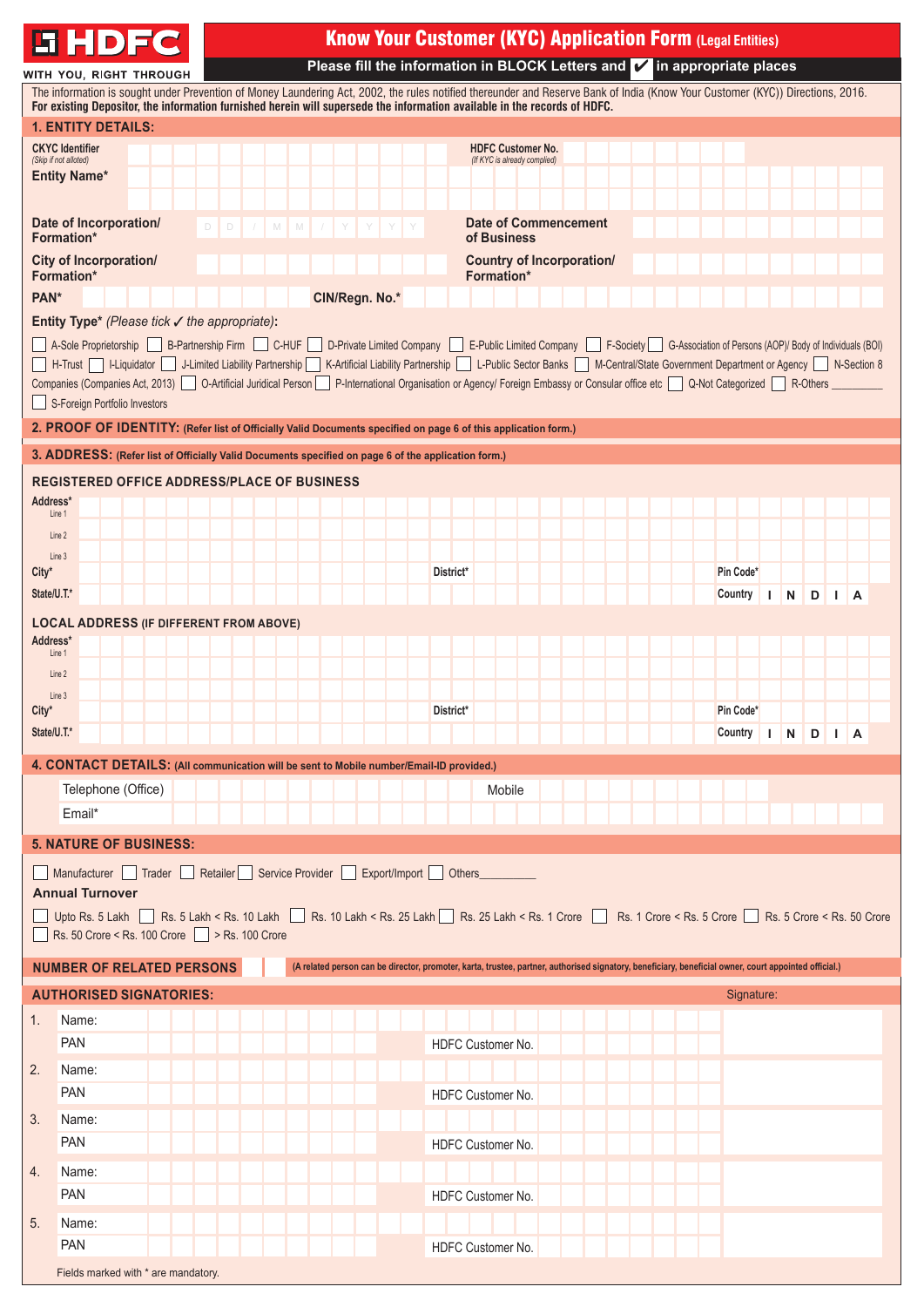

# Know Your Customer (KYC) Application Form **(Legal Entities)**

**Please fill the information in BLOCK Letters and**  in appropriate places

|                                                 | WITH YOU, RIGHT THROUGH<br>The information is sought under Prevention of Money Laundering Act, 2002, the rules notified thereunder and Reserve Bank of India (Know Your Customer (KYC)) Directions, 2016.                               |        |                                                                                                                                                       |                                                                                                                              |  |           |                                                          |  |  |  |            |    |           |   |              |                         |  |
|-------------------------------------------------|-----------------------------------------------------------------------------------------------------------------------------------------------------------------------------------------------------------------------------------------|--------|-------------------------------------------------------------------------------------------------------------------------------------------------------|------------------------------------------------------------------------------------------------------------------------------|--|-----------|----------------------------------------------------------|--|--|--|------------|----|-----------|---|--------------|-------------------------|--|
|                                                 | For existing Depositor, the information furnished herein will supersede the information available in the records of HDFC.                                                                                                               |        |                                                                                                                                                       |                                                                                                                              |  |           |                                                          |  |  |  |            |    |           |   |              |                         |  |
|                                                 | <b>1. ENTITY DETAILS:</b>                                                                                                                                                                                                               |        |                                                                                                                                                       |                                                                                                                              |  |           |                                                          |  |  |  |            |    |           |   |              |                         |  |
| <b>CKYC</b> Identifier<br>(Skip if not alloted) |                                                                                                                                                                                                                                         |        |                                                                                                                                                       |                                                                                                                              |  |           | <b>HDFC Customer No.</b><br>(If KYC is already complied) |  |  |  |            |    |           |   |              |                         |  |
| <b>Entity Name*</b>                             |                                                                                                                                                                                                                                         |        |                                                                                                                                                       |                                                                                                                              |  |           |                                                          |  |  |  |            |    |           |   |              |                         |  |
|                                                 |                                                                                                                                                                                                                                         |        |                                                                                                                                                       |                                                                                                                              |  |           |                                                          |  |  |  |            |    |           |   |              |                         |  |
| Formation*                                      | Date of Incorporation/                                                                                                                                                                                                                  | D<br>D | / M M / Y Y Y                                                                                                                                         |                                                                                                                              |  |           | <b>Date of Commencement</b><br>of Business               |  |  |  |            |    |           |   |              |                         |  |
| <b>Formation*</b>                               | <b>City of Incorporation/</b>                                                                                                                                                                                                           |        |                                                                                                                                                       |                                                                                                                              |  |           | <b>Country of Incorporation/</b><br><b>Formation*</b>    |  |  |  |            |    |           |   |              |                         |  |
| PAN*                                            |                                                                                                                                                                                                                                         |        |                                                                                                                                                       | CIN/Regn. No.*                                                                                                               |  |           |                                                          |  |  |  |            |    |           |   |              |                         |  |
|                                                 | Entity Type* (Please tick $\checkmark$ the appropriate):                                                                                                                                                                                |        |                                                                                                                                                       |                                                                                                                              |  |           |                                                          |  |  |  |            |    |           |   |              |                         |  |
|                                                 | A-Sole Proprietorship B-Partnership Firm C-HUF<br>H-Trust   I-Liquidator   J-Limited Liability Partnership   K-Artificial Liability Partnership   L-Public Sector Banks   M-Central/State Government Department or Agency   N-Section 8 |        |                                                                                                                                                       | D-Private Limited Company   E-Public Limited Company   F-Society   G-Association of Persons (AOP)/ Body of Individuals (BOI) |  |           |                                                          |  |  |  |            |    |           |   |              |                         |  |
|                                                 | Companies (Companies Act, 2013)   O-Artificial Juridical Person<br>S-Foreign Portfolio Investors                                                                                                                                        |        |                                                                                                                                                       | P-International Organisation or Agency/ Foreign Embassy or Consular office etc Q-Not Categorized R-Others                    |  |           |                                                          |  |  |  |            |    |           |   |              |                         |  |
|                                                 | 2. PROOF OF IDENTITY: (Refer list of Officially Valid Documents specified on page 6 of this application form.)                                                                                                                          |        |                                                                                                                                                       |                                                                                                                              |  |           |                                                          |  |  |  |            |    |           |   |              |                         |  |
|                                                 | 3. ADDRESS: (Refer list of Officially Valid Documents specified on page 6 of the application form.)                                                                                                                                     |        |                                                                                                                                                       |                                                                                                                              |  |           |                                                          |  |  |  |            |    |           |   |              |                         |  |
|                                                 | <b>REGISTERED OFFICE ADDRESS/PLACE OF BUSINESS</b>                                                                                                                                                                                      |        |                                                                                                                                                       |                                                                                                                              |  |           |                                                          |  |  |  |            |    |           |   |              |                         |  |
| Address*                                        |                                                                                                                                                                                                                                         |        |                                                                                                                                                       |                                                                                                                              |  |           |                                                          |  |  |  |            |    |           |   |              |                         |  |
| Line 1                                          |                                                                                                                                                                                                                                         |        |                                                                                                                                                       |                                                                                                                              |  |           |                                                          |  |  |  |            |    |           |   |              |                         |  |
| Line 2                                          |                                                                                                                                                                                                                                         |        |                                                                                                                                                       |                                                                                                                              |  |           |                                                          |  |  |  |            |    |           |   |              |                         |  |
| Line 3<br>$City^*$                              |                                                                                                                                                                                                                                         |        |                                                                                                                                                       |                                                                                                                              |  | District* |                                                          |  |  |  | Pin Code*  |    |           |   |              |                         |  |
| State/U.T.*                                     |                                                                                                                                                                                                                                         |        |                                                                                                                                                       |                                                                                                                              |  |           |                                                          |  |  |  | Country    | ı  | ${\sf N}$ | D | $\mathbf{L}$ | $\overline{\mathsf{A}}$ |  |
|                                                 |                                                                                                                                                                                                                                         |        |                                                                                                                                                       |                                                                                                                              |  |           |                                                          |  |  |  |            |    |           |   |              |                         |  |
| Address*                                        | <b>LOCAL ADDRESS (IF DIFFERENT FROM ABOVE)</b>                                                                                                                                                                                          |        |                                                                                                                                                       |                                                                                                                              |  |           |                                                          |  |  |  |            |    |           |   |              |                         |  |
| Line 1                                          |                                                                                                                                                                                                                                         |        |                                                                                                                                                       |                                                                                                                              |  |           |                                                          |  |  |  |            |    |           |   |              |                         |  |
| Line 2                                          |                                                                                                                                                                                                                                         |        |                                                                                                                                                       |                                                                                                                              |  |           |                                                          |  |  |  |            |    |           |   |              |                         |  |
| Line 3<br>$City^*$                              |                                                                                                                                                                                                                                         |        |                                                                                                                                                       |                                                                                                                              |  | District* |                                                          |  |  |  | Pin Code*  |    |           |   |              |                         |  |
| State/U.T.*                                     |                                                                                                                                                                                                                                         |        |                                                                                                                                                       |                                                                                                                              |  |           |                                                          |  |  |  | Country    | I. | N         | D | $\mathbf{L}$ | l A                     |  |
|                                                 |                                                                                                                                                                                                                                         |        |                                                                                                                                                       |                                                                                                                              |  |           |                                                          |  |  |  |            |    |           |   |              |                         |  |
|                                                 | 4. CONTACT DETAILS: (All communication will be sent to Mobile number/Email-ID provided.)                                                                                                                                                |        |                                                                                                                                                       |                                                                                                                              |  |           |                                                          |  |  |  |            |    |           |   |              |                         |  |
|                                                 | Telephone (Office)                                                                                                                                                                                                                      |        |                                                                                                                                                       |                                                                                                                              |  |           | Mobile                                                   |  |  |  |            |    |           |   |              |                         |  |
| Email*                                          |                                                                                                                                                                                                                                         |        |                                                                                                                                                       |                                                                                                                              |  |           |                                                          |  |  |  |            |    |           |   |              |                         |  |
|                                                 | <b>5. NATURE OF BUSINESS:</b>                                                                                                                                                                                                           |        |                                                                                                                                                       |                                                                                                                              |  |           |                                                          |  |  |  |            |    |           |   |              |                         |  |
|                                                 | Manufacturer Trader Retailer Service Provider Export/Import Others                                                                                                                                                                      |        |                                                                                                                                                       |                                                                                                                              |  |           |                                                          |  |  |  |            |    |           |   |              |                         |  |
| <b>Annual Turnover</b>                          |                                                                                                                                                                                                                                         |        |                                                                                                                                                       |                                                                                                                              |  |           |                                                          |  |  |  |            |    |           |   |              |                         |  |
|                                                 | Upto Rs. 5 Lakh Rs. 5 Lakh < Rs. 10 Lakh Rs. 10 Lakh < Rs. 10 Lakh < Rs. 25 Lakh Rs. 25 Lakh < Rs. 1 Crore Rs. 1 Crore < Rs. 5 Crore CRs. 5 Crore < Rs. 50 Crore                                                                        |        |                                                                                                                                                       |                                                                                                                              |  |           |                                                          |  |  |  |            |    |           |   |              |                         |  |
|                                                 | Rs. 50 Crore < Rs. 100 Crore > Rs. 100 Crore                                                                                                                                                                                            |        |                                                                                                                                                       |                                                                                                                              |  |           |                                                          |  |  |  |            |    |           |   |              |                         |  |
|                                                 | <b>NUMBER OF RELATED PERSONS</b>                                                                                                                                                                                                        |        | (A related person can be director, promoter, karta, trustee, partner, authorised signatory, beneficiary, beneficial owner, court appointed official.) |                                                                                                                              |  |           |                                                          |  |  |  |            |    |           |   |              |                         |  |
|                                                 |                                                                                                                                                                                                                                         |        |                                                                                                                                                       |                                                                                                                              |  |           |                                                          |  |  |  |            |    |           |   |              |                         |  |
|                                                 | <b>AUTHORISED SIGNATORIES:</b>                                                                                                                                                                                                          |        |                                                                                                                                                       |                                                                                                                              |  |           |                                                          |  |  |  | Signature: |    |           |   |              |                         |  |
| 1.<br>Name:                                     |                                                                                                                                                                                                                                         |        |                                                                                                                                                       |                                                                                                                              |  |           |                                                          |  |  |  |            |    |           |   |              |                         |  |
| PAN                                             |                                                                                                                                                                                                                                         |        |                                                                                                                                                       |                                                                                                                              |  |           | HDFC Customer No.                                        |  |  |  |            |    |           |   |              |                         |  |
| 2.<br>Name:                                     |                                                                                                                                                                                                                                         |        |                                                                                                                                                       |                                                                                                                              |  |           |                                                          |  |  |  |            |    |           |   |              |                         |  |
| PAN                                             |                                                                                                                                                                                                                                         |        |                                                                                                                                                       |                                                                                                                              |  |           | HDFC Customer No.                                        |  |  |  |            |    |           |   |              |                         |  |
| 3.<br>Name:                                     |                                                                                                                                                                                                                                         |        |                                                                                                                                                       |                                                                                                                              |  |           |                                                          |  |  |  |            |    |           |   |              |                         |  |
| PAN                                             |                                                                                                                                                                                                                                         |        |                                                                                                                                                       |                                                                                                                              |  |           | HDFC Customer No.                                        |  |  |  |            |    |           |   |              |                         |  |
| 4.<br>Name:                                     |                                                                                                                                                                                                                                         |        |                                                                                                                                                       |                                                                                                                              |  |           |                                                          |  |  |  |            |    |           |   |              |                         |  |
| <b>PAN</b>                                      |                                                                                                                                                                                                                                         |        |                                                                                                                                                       |                                                                                                                              |  |           | HDFC Customer No.                                        |  |  |  |            |    |           |   |              |                         |  |
| 5.<br>Name:                                     |                                                                                                                                                                                                                                         |        |                                                                                                                                                       |                                                                                                                              |  |           |                                                          |  |  |  |            |    |           |   |              |                         |  |
| <b>PAN</b>                                      |                                                                                                                                                                                                                                         |        |                                                                                                                                                       |                                                                                                                              |  |           | HDFC Customer No.                                        |  |  |  |            |    |           |   |              |                         |  |
|                                                 | Fields marked with * are mandatory.                                                                                                                                                                                                     |        |                                                                                                                                                       |                                                                                                                              |  |           |                                                          |  |  |  |            |    |           |   |              |                         |  |
|                                                 |                                                                                                                                                                                                                                         |        |                                                                                                                                                       |                                                                                                                              |  |           |                                                          |  |  |  |            |    |           |   |              |                         |  |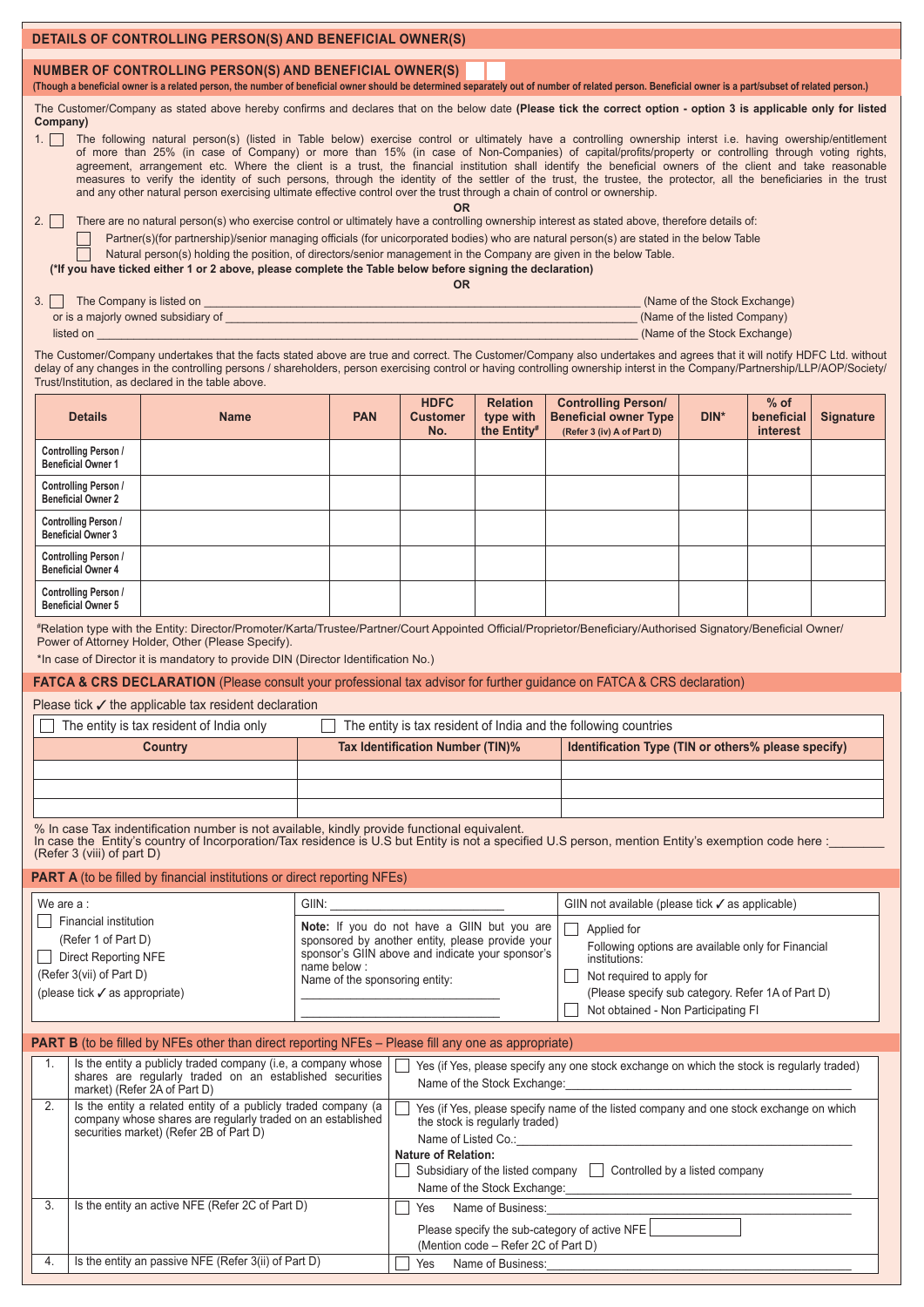| DETAILS OF CONTROLLING PERSON(S) AND BENEFICIAL OWNER(S)                                                                                                                                                                                                                                                                                                                                                                                                                                                                                                                                                                                                               |                                                                                                                                                                                                                                                                                                                                                                                                                                                                                                                                                                                                                                                                                                                                                                                                                                        |                                                                                                                                                                                                                                                                                                                                                                                                                |                                                                                                                                                                                                                                                                                                                                                       |                                                                                                                                                                         |                                                          |                                                                                            |                                                                                                                       |                                                                                              |                                  |                  |  |  |  |  |
|------------------------------------------------------------------------------------------------------------------------------------------------------------------------------------------------------------------------------------------------------------------------------------------------------------------------------------------------------------------------------------------------------------------------------------------------------------------------------------------------------------------------------------------------------------------------------------------------------------------------------------------------------------------------|----------------------------------------------------------------------------------------------------------------------------------------------------------------------------------------------------------------------------------------------------------------------------------------------------------------------------------------------------------------------------------------------------------------------------------------------------------------------------------------------------------------------------------------------------------------------------------------------------------------------------------------------------------------------------------------------------------------------------------------------------------------------------------------------------------------------------------------|----------------------------------------------------------------------------------------------------------------------------------------------------------------------------------------------------------------------------------------------------------------------------------------------------------------------------------------------------------------------------------------------------------------|-------------------------------------------------------------------------------------------------------------------------------------------------------------------------------------------------------------------------------------------------------------------------------------------------------------------------------------------------------|-------------------------------------------------------------------------------------------------------------------------------------------------------------------------|----------------------------------------------------------|--------------------------------------------------------------------------------------------|-----------------------------------------------------------------------------------------------------------------------|----------------------------------------------------------------------------------------------|----------------------------------|------------------|--|--|--|--|
|                                                                                                                                                                                                                                                                                                                                                                                                                                                                                                                                                                                                                                                                        | NUMBER OF CONTROLLING PERSON(S) AND BENEFICIAL OWNER(S)<br>(Though a beneficial owner is a related person, the number of beneficial owner should be determined separately out of number of related person. Beneficial owner is a part/subset of related person.)                                                                                                                                                                                                                                                                                                                                                                                                                                                                                                                                                                       |                                                                                                                                                                                                                                                                                                                                                                                                                |                                                                                                                                                                                                                                                                                                                                                       |                                                                                                                                                                         |                                                          |                                                                                            |                                                                                                                       |                                                                                              |                                  |                  |  |  |  |  |
| $1. \Box$                                                                                                                                                                                                                                                                                                                                                                                                                                                                                                                                                                                                                                                              | The Customer/Company as stated above hereby confirms and declares that on the below date (Please tick the correct option - option 3 is applicable only for listed<br>Company)<br>The following natural person(s) (listed in Table below) exercise control or ultimately have a controlling ownership interst i.e. having owership/entitlement<br>of more than 25% (in case of Company) or more than 15% (in case of Non-Companies) of capital/profits/property or controlling through voting rights,<br>agreement, arrangement etc. Where the client is a trust, the financial institution shall identify the beneficial owners of the client and take reasonable<br>measures to verify the identity of such persons, through the identity of the settler of the trust, the trustee, the protector, all the beneficiaries in the trust |                                                                                                                                                                                                                                                                                                                                                                                                                |                                                                                                                                                                                                                                                                                                                                                       |                                                                                                                                                                         |                                                          |                                                                                            |                                                                                                                       |                                                                                              |                                  |                  |  |  |  |  |
| and any other natural person exercising ultimate effective control over the trust through a chain of control or ownership.<br>There are no natural person(s) who exercise control or ultimately have a controlling ownership interest as stated above, therefore details of:<br>2.    <br>Partner(s)(for partnership)/senior managing officials (for unicorporated bodies) who are natural person(s) are stated in the below Table<br>Natural person(s) holding the position, of directors/senior management in the Company are given in the below Table.<br>(*If you have ticked either 1 or 2 above, please complete the Table below before signing the declaration) |                                                                                                                                                                                                                                                                                                                                                                                                                                                                                                                                                                                                                                                                                                                                                                                                                                        |                                                                                                                                                                                                                                                                                                                                                                                                                |                                                                                                                                                                                                                                                                                                                                                       | <b>OR</b>                                                                                                                                                               |                                                          |                                                                                            |                                                                                                                       |                                                                                              |                                  |                  |  |  |  |  |
|                                                                                                                                                                                                                                                                                                                                                                                                                                                                                                                                                                                                                                                                        |                                                                                                                                                                                                                                                                                                                                                                                                                                                                                                                                                                                                                                                                                                                                                                                                                                        | 3. The Company is listed on <u>equal that the company is listed</u> on the company of the company is listed on <u>the company of the company of the company of the company of the company of the company of the company of the compan</u><br>listed on with the contract of the contract of the contract of the contract of the contract of the contract of                                                    |                                                                                                                                                                                                                                                                                                                                                       | <b>OR</b>                                                                                                                                                               |                                                          |                                                                                            |                                                                                                                       | (Name of the Stock Exchange)<br>(Name of the listed Company)<br>(Name of the Stock Exchange) |                                  |                  |  |  |  |  |
|                                                                                                                                                                                                                                                                                                                                                                                                                                                                                                                                                                                                                                                                        |                                                                                                                                                                                                                                                                                                                                                                                                                                                                                                                                                                                                                                                                                                                                                                                                                                        | The Customer/Company undertakes that the facts stated above are true and correct. The Customer/Company also undertakes and agrees that it will notify HDFC Ltd. without<br>delay of any changes in the controlling persons / shareholders, person exercising control or having controlling ownership interst in the Company/Partnership/LLP/AOP/Society/<br>Trust/Institution, as declared in the table above. |                                                                                                                                                                                                                                                                                                                                                       |                                                                                                                                                                         |                                                          |                                                                                            |                                                                                                                       |                                                                                              |                                  |                  |  |  |  |  |
|                                                                                                                                                                                                                                                                                                                                                                                                                                                                                                                                                                                                                                                                        | <b>Details</b><br><b>Controlling Person /</b>                                                                                                                                                                                                                                                                                                                                                                                                                                                                                                                                                                                                                                                                                                                                                                                          | <b>Name</b>                                                                                                                                                                                                                                                                                                                                                                                                    | <b>PAN</b>                                                                                                                                                                                                                                                                                                                                            | <b>HDFC</b><br><b>Customer</b><br>No.                                                                                                                                   | <b>Relation</b><br>type with<br>the Entity#              |                                                                                            | <b>Controlling Person/</b><br><b>Beneficial owner Type</b><br>(Refer 3 (iv) A of Part D)                              | $DIN^*$                                                                                      | $%$ of<br>beneficial<br>interest | <b>Signature</b> |  |  |  |  |
|                                                                                                                                                                                                                                                                                                                                                                                                                                                                                                                                                                                                                                                                        | <b>Beneficial Owner 1</b><br>Controlling Person /                                                                                                                                                                                                                                                                                                                                                                                                                                                                                                                                                                                                                                                                                                                                                                                      |                                                                                                                                                                                                                                                                                                                                                                                                                |                                                                                                                                                                                                                                                                                                                                                       |                                                                                                                                                                         |                                                          |                                                                                            |                                                                                                                       |                                                                                              |                                  |                  |  |  |  |  |
|                                                                                                                                                                                                                                                                                                                                                                                                                                                                                                                                                                                                                                                                        | <b>Beneficial Owner 2</b><br>Controlling Person /<br><b>Beneficial Owner 3</b>                                                                                                                                                                                                                                                                                                                                                                                                                                                                                                                                                                                                                                                                                                                                                         |                                                                                                                                                                                                                                                                                                                                                                                                                |                                                                                                                                                                                                                                                                                                                                                       |                                                                                                                                                                         |                                                          |                                                                                            |                                                                                                                       |                                                                                              |                                  |                  |  |  |  |  |
|                                                                                                                                                                                                                                                                                                                                                                                                                                                                                                                                                                                                                                                                        | Controlling Person /<br><b>Beneficial Owner 4</b>                                                                                                                                                                                                                                                                                                                                                                                                                                                                                                                                                                                                                                                                                                                                                                                      |                                                                                                                                                                                                                                                                                                                                                                                                                |                                                                                                                                                                                                                                                                                                                                                       |                                                                                                                                                                         |                                                          |                                                                                            |                                                                                                                       |                                                                                              |                                  |                  |  |  |  |  |
|                                                                                                                                                                                                                                                                                                                                                                                                                                                                                                                                                                                                                                                                        | Controlling Person /<br><b>Beneficial Owner 5</b>                                                                                                                                                                                                                                                                                                                                                                                                                                                                                                                                                                                                                                                                                                                                                                                      |                                                                                                                                                                                                                                                                                                                                                                                                                |                                                                                                                                                                                                                                                                                                                                                       |                                                                                                                                                                         |                                                          |                                                                                            |                                                                                                                       |                                                                                              |                                  |                  |  |  |  |  |
|                                                                                                                                                                                                                                                                                                                                                                                                                                                                                                                                                                                                                                                                        |                                                                                                                                                                                                                                                                                                                                                                                                                                                                                                                                                                                                                                                                                                                                                                                                                                        | #Relation type with the Entity: Director/Promoter/Karta/Trustee/Partner/Court Appointed Official/Proprietor/Beneficiary/Authorised Signatory/Beneficial Owner/<br>Power of Attorney Holder, Other (Please Specify).<br>*In case of Director it is mandatory to provide DIN (Director Identification No.)                                                                                                       |                                                                                                                                                                                                                                                                                                                                                       |                                                                                                                                                                         |                                                          |                                                                                            |                                                                                                                       |                                                                                              |                                  |                  |  |  |  |  |
|                                                                                                                                                                                                                                                                                                                                                                                                                                                                                                                                                                                                                                                                        |                                                                                                                                                                                                                                                                                                                                                                                                                                                                                                                                                                                                                                                                                                                                                                                                                                        | FATCA & CRS DECLARATION (Please consult your professional tax advisor for further guidance on FATCA & CRS declaration)<br>Please tick $\checkmark$ the applicable tax resident declaration                                                                                                                                                                                                                     |                                                                                                                                                                                                                                                                                                                                                       |                                                                                                                                                                         |                                                          |                                                                                            |                                                                                                                       |                                                                                              |                                  |                  |  |  |  |  |
|                                                                                                                                                                                                                                                                                                                                                                                                                                                                                                                                                                                                                                                                        |                                                                                                                                                                                                                                                                                                                                                                                                                                                                                                                                                                                                                                                                                                                                                                                                                                        | The entity is tax resident of India only                                                                                                                                                                                                                                                                                                                                                                       |                                                                                                                                                                                                                                                                                                                                                       |                                                                                                                                                                         |                                                          |                                                                                            | The entity is tax resident of India and the following countries                                                       |                                                                                              |                                  |                  |  |  |  |  |
|                                                                                                                                                                                                                                                                                                                                                                                                                                                                                                                                                                                                                                                                        |                                                                                                                                                                                                                                                                                                                                                                                                                                                                                                                                                                                                                                                                                                                                                                                                                                        | <b>Country</b>                                                                                                                                                                                                                                                                                                                                                                                                 |                                                                                                                                                                                                                                                                                                                                                       | <b>Tax Identification Number (TIN)%</b>                                                                                                                                 |                                                          |                                                                                            | Identification Type (TIN or others% please specify)                                                                   |                                                                                              |                                  |                  |  |  |  |  |
|                                                                                                                                                                                                                                                                                                                                                                                                                                                                                                                                                                                                                                                                        |                                                                                                                                                                                                                                                                                                                                                                                                                                                                                                                                                                                                                                                                                                                                                                                                                                        |                                                                                                                                                                                                                                                                                                                                                                                                                |                                                                                                                                                                                                                                                                                                                                                       |                                                                                                                                                                         |                                                          |                                                                                            |                                                                                                                       |                                                                                              |                                  |                  |  |  |  |  |
|                                                                                                                                                                                                                                                                                                                                                                                                                                                                                                                                                                                                                                                                        |                                                                                                                                                                                                                                                                                                                                                                                                                                                                                                                                                                                                                                                                                                                                                                                                                                        |                                                                                                                                                                                                                                                                                                                                                                                                                |                                                                                                                                                                                                                                                                                                                                                       |                                                                                                                                                                         |                                                          |                                                                                            |                                                                                                                       |                                                                                              |                                  |                  |  |  |  |  |
|                                                                                                                                                                                                                                                                                                                                                                                                                                                                                                                                                                                                                                                                        | (Refer 3 (viii) of part D)                                                                                                                                                                                                                                                                                                                                                                                                                                                                                                                                                                                                                                                                                                                                                                                                             | % In case Tax indentification number is not available, kindly provide functional equivalent.<br>In case the Entity's country of Incorporation/Tax residence is U.S but Entity is not a specified U.S person, mention Entity's exe                                                                                                                                                                              |                                                                                                                                                                                                                                                                                                                                                       |                                                                                                                                                                         |                                                          |                                                                                            |                                                                                                                       |                                                                                              |                                  |                  |  |  |  |  |
|                                                                                                                                                                                                                                                                                                                                                                                                                                                                                                                                                                                                                                                                        |                                                                                                                                                                                                                                                                                                                                                                                                                                                                                                                                                                                                                                                                                                                                                                                                                                        | <b>PART A</b> (to be filled by financial institutions or direct reporting NFEs)                                                                                                                                                                                                                                                                                                                                |                                                                                                                                                                                                                                                                                                                                                       |                                                                                                                                                                         |                                                          |                                                                                            |                                                                                                                       |                                                                                              |                                  |                  |  |  |  |  |
| We are a:                                                                                                                                                                                                                                                                                                                                                                                                                                                                                                                                                                                                                                                              | <b>Financial institution</b><br>(Refer 1 of Part D)                                                                                                                                                                                                                                                                                                                                                                                                                                                                                                                                                                                                                                                                                                                                                                                    |                                                                                                                                                                                                                                                                                                                                                                                                                | GIIN:<br>Note: If you do not have a GIIN but you are<br>sponsored by another entity, please provide your                                                                                                                                                                                                                                              |                                                                                                                                                                         |                                                          |                                                                                            | GIIN not available (please tick √ as applicable)<br>Applied for<br>Following options are available only for Financial |                                                                                              |                                  |                  |  |  |  |  |
|                                                                                                                                                                                                                                                                                                                                                                                                                                                                                                                                                                                                                                                                        | Direct Reporting NFE<br>(Refer 3(vii) of Part D)<br>(please tick √ as appropriate)                                                                                                                                                                                                                                                                                                                                                                                                                                                                                                                                                                                                                                                                                                                                                     |                                                                                                                                                                                                                                                                                                                                                                                                                | sponsor's GIIN above and indicate your sponsor's<br>institutions:<br>Not required to apply for<br>Name of the sponsoring entity:<br>(Please specify sub category. Refer 1A of Part D)<br><u> La Carlo de la Carlo de la Carlo de la Carlo de la Carlo de la Carlo de la Carlo de la Carlo de la Carlo de l</u><br>Not obtained - Non Participating FI |                                                                                                                                                                         |                                                          |                                                                                            |                                                                                                                       |                                                                                              |                                  |                  |  |  |  |  |
|                                                                                                                                                                                                                                                                                                                                                                                                                                                                                                                                                                                                                                                                        | <b>PART B</b> (to be filled by NFEs other than direct reporting NFEs – Please fill any one as appropriate)                                                                                                                                                                                                                                                                                                                                                                                                                                                                                                                                                                                                                                                                                                                             |                                                                                                                                                                                                                                                                                                                                                                                                                |                                                                                                                                                                                                                                                                                                                                                       |                                                                                                                                                                         |                                                          |                                                                                            |                                                                                                                       |                                                                                              |                                  |                  |  |  |  |  |
| 1.                                                                                                                                                                                                                                                                                                                                                                                                                                                                                                                                                                                                                                                                     |                                                                                                                                                                                                                                                                                                                                                                                                                                                                                                                                                                                                                                                                                                                                                                                                                                        | Is the entity a publicly traded company (i.e, a company whose<br>shares are regularly traded on an established securities<br>market) (Refer 2A of Part D)                                                                                                                                                                                                                                                      |                                                                                                                                                                                                                                                                                                                                                       | Name of the Stock Exchange:                                                                                                                                             |                                                          | Yes (if Yes, please specify any one stock exchange on which the stock is regularly traded) |                                                                                                                       |                                                                                              |                                  |                  |  |  |  |  |
| 2.                                                                                                                                                                                                                                                                                                                                                                                                                                                                                                                                                                                                                                                                     |                                                                                                                                                                                                                                                                                                                                                                                                                                                                                                                                                                                                                                                                                                                                                                                                                                        | Is the entity a related entity of a publicly traded company (a<br>company whose shares are regularly traded on an established<br>securities market) (Refer 2B of Part D)                                                                                                                                                                                                                                       |                                                                                                                                                                                                                                                                                                                                                       | the stock is regularly traded)                                                                                                                                          |                                                          | Yes (if Yes, please specify name of the listed company and one stock exchange on which     |                                                                                                                       |                                                                                              |                                  |                  |  |  |  |  |
|                                                                                                                                                                                                                                                                                                                                                                                                                                                                                                                                                                                                                                                                        |                                                                                                                                                                                                                                                                                                                                                                                                                                                                                                                                                                                                                                                                                                                                                                                                                                        |                                                                                                                                                                                                                                                                                                                                                                                                                |                                                                                                                                                                                                                                                                                                                                                       | Name of Listed Co.: Name of Listed Co.:<br><b>Nature of Relation:</b><br>Subsidiary of the listed company Controlled by a listed company<br>Name of the Stock Exchange: |                                                          |                                                                                            |                                                                                                                       |                                                                                              |                                  |                  |  |  |  |  |
| 3.                                                                                                                                                                                                                                                                                                                                                                                                                                                                                                                                                                                                                                                                     |                                                                                                                                                                                                                                                                                                                                                                                                                                                                                                                                                                                                                                                                                                                                                                                                                                        | Is the entity an active NFE (Refer 2C of Part D)                                                                                                                                                                                                                                                                                                                                                               |                                                                                                                                                                                                                                                                                                                                                       | Yes                                                                                                                                                                     | Name of Business:<br>(Mention code – Refer 2C of Part D) |                                                                                            | Please specify the sub-category of active NFE                                                                         |                                                                                              |                                  |                  |  |  |  |  |
| 4.                                                                                                                                                                                                                                                                                                                                                                                                                                                                                                                                                                                                                                                                     |                                                                                                                                                                                                                                                                                                                                                                                                                                                                                                                                                                                                                                                                                                                                                                                                                                        | Is the entity an passive NFE (Refer 3(ii) of Part D)                                                                                                                                                                                                                                                                                                                                                           |                                                                                                                                                                                                                                                                                                                                                       | Yes                                                                                                                                                                     | Name of Business:                                        |                                                                                            |                                                                                                                       |                                                                                              |                                  |                  |  |  |  |  |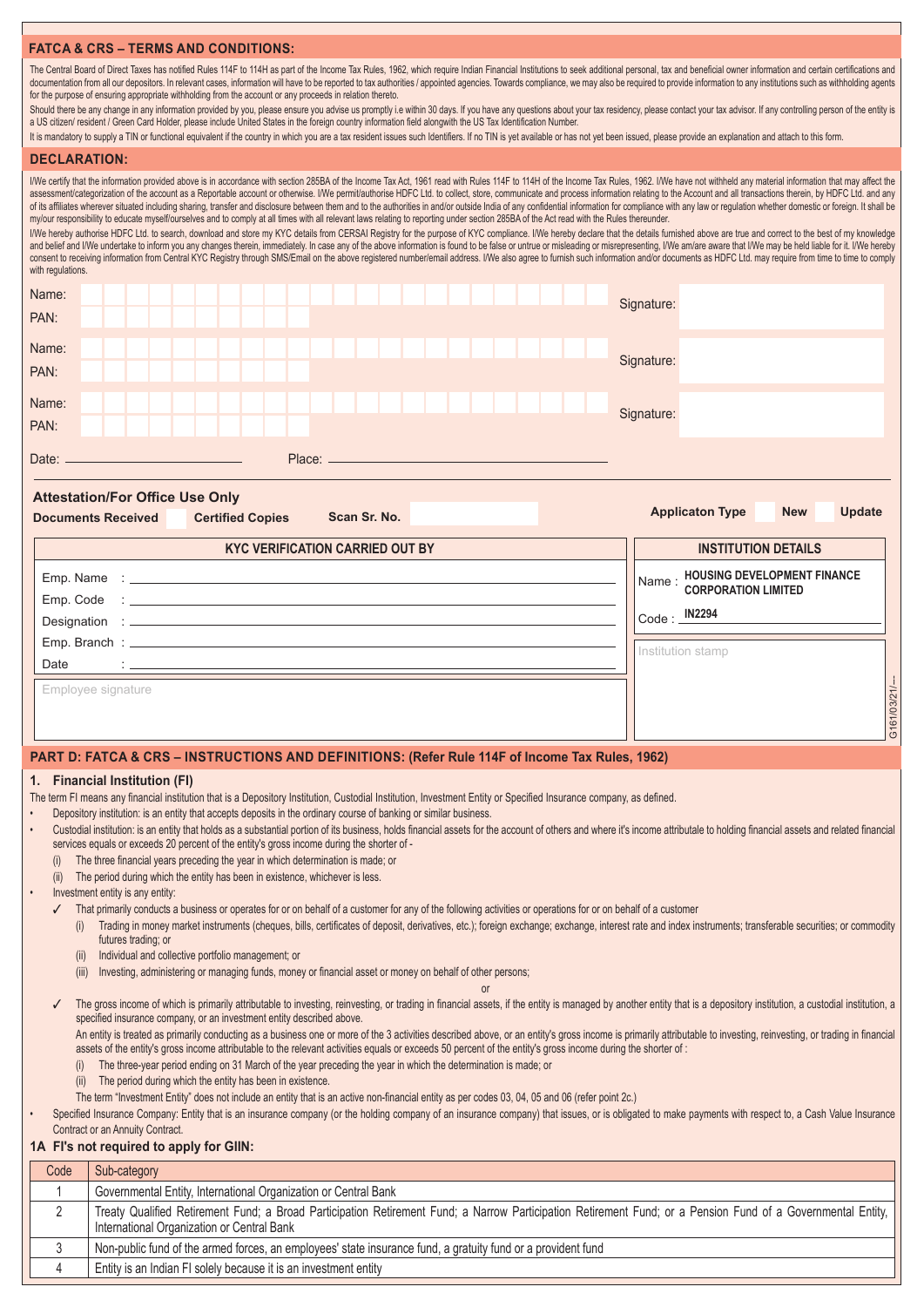## **FATCA & CRS – TERMS AND CONDITIONS:**

The Central Board of Direct Taxes has notified Rules 114F to 114H as part of the Income Tax Rules, 1962, which require Indian Financial Institutions to seek additional personal, tax and beneficial owner information and cer documentation from all our depositors. In relevant cases, information will have to be reported to tax authorities / appointed agencies. Towards compliance, we may also be required to provide information to any institutions for the purpose of ensuring appropriate withholding from the account or any proceeds in relation thereto.

Should there be any change in any information provided by you, please ensure you advise us promptly i.e within 30 days. If you have any questions about your tax residency, please contact your tax advisor. If any controllin a US citizen/ resident / Green Card Holder, please include United States in the foreign country information field alongwith the US Tax Identification Number.

It is mandatory to supply a TIN or functional equivalent if the country in which you are a tax resident issues such Identifiers. If no TIN is yet available or has not yet been issued, please provide an explanation and atta

| <b>DECLARATION:</b>                                                                                                                                                                                                                                                                                                                                                                                                                                                                                                                                                                                                                                                                                                                                                                                                                                                                                                                                                                                                                                                                                                                                                                                                                                                                                                                                                                                                                                                                                                                                                                                                     |                                                                                                                                                                                                                                                                                                                                                                                                                                                                                                                                                                                                                                                                                                                                                                                                                                                                                                                                                                                                                                                                                                                                                                      |                                        |  |                   |                                      |              |
|-------------------------------------------------------------------------------------------------------------------------------------------------------------------------------------------------------------------------------------------------------------------------------------------------------------------------------------------------------------------------------------------------------------------------------------------------------------------------------------------------------------------------------------------------------------------------------------------------------------------------------------------------------------------------------------------------------------------------------------------------------------------------------------------------------------------------------------------------------------------------------------------------------------------------------------------------------------------------------------------------------------------------------------------------------------------------------------------------------------------------------------------------------------------------------------------------------------------------------------------------------------------------------------------------------------------------------------------------------------------------------------------------------------------------------------------------------------------------------------------------------------------------------------------------------------------------------------------------------------------------|----------------------------------------------------------------------------------------------------------------------------------------------------------------------------------------------------------------------------------------------------------------------------------------------------------------------------------------------------------------------------------------------------------------------------------------------------------------------------------------------------------------------------------------------------------------------------------------------------------------------------------------------------------------------------------------------------------------------------------------------------------------------------------------------------------------------------------------------------------------------------------------------------------------------------------------------------------------------------------------------------------------------------------------------------------------------------------------------------------------------------------------------------------------------|----------------------------------------|--|-------------------|--------------------------------------|--------------|
| I/We certify that the information provided above is in accordance with section 285BA of the Income Tax Act, 1961 read with Rules 114F to 114H of the Income Tax Rules, 1962. I/We have not withheld any material information t<br>assessment/categorization of the account as a Reportable account or otherwise. I/We permit/authorise HDFC Ltd. to collect, store, communicate and process information relating to the Account and all transactions therein, by<br>of its affiliates wherever situated including sharing, transfer and disclosure between them and to the authorities in and/or outside India of any confidential information for compliance with any law or regulation whether d<br>my/our responsibility to educate myself/ourselves and to comply at all times with all relevant laws relating to reporting under section 285BA of the Act read with the Rules thereunder.<br>I/We hereby authorise HDFC Ltd. to search, download and store my KYC details from CERSAI Registry for the purpose of KYC compliance. I/We hereby declare that the details furnished above are true and correct to the best of<br>and belief and I/We undertake to inform you any changes therein, immediately. In case any of the above information is found to be false or untrue or misleading or misrepresenting, I/We am/are aware that I/We may be held li<br>consent to receiving information from Central KYC Registry through SMS/Email on the above registered number/email address. I/We also agree to furnish such information and/or documents as HDFC Ltd. may require from time to<br>with regulations. |                                                                                                                                                                                                                                                                                                                                                                                                                                                                                                                                                                                                                                                                                                                                                                                                                                                                                                                                                                                                                                                                                                                                                                      |                                        |  |                   |                                      |              |
| Name:                                                                                                                                                                                                                                                                                                                                                                                                                                                                                                                                                                                                                                                                                                                                                                                                                                                                                                                                                                                                                                                                                                                                                                                                                                                                                                                                                                                                                                                                                                                                                                                                                   |                                                                                                                                                                                                                                                                                                                                                                                                                                                                                                                                                                                                                                                                                                                                                                                                                                                                                                                                                                                                                                                                                                                                                                      |                                        |  | Signature:        |                                      |              |
| PAN:                                                                                                                                                                                                                                                                                                                                                                                                                                                                                                                                                                                                                                                                                                                                                                                                                                                                                                                                                                                                                                                                                                                                                                                                                                                                                                                                                                                                                                                                                                                                                                                                                    |                                                                                                                                                                                                                                                                                                                                                                                                                                                                                                                                                                                                                                                                                                                                                                                                                                                                                                                                                                                                                                                                                                                                                                      |                                        |  |                   |                                      |              |
| Name:                                                                                                                                                                                                                                                                                                                                                                                                                                                                                                                                                                                                                                                                                                                                                                                                                                                                                                                                                                                                                                                                                                                                                                                                                                                                                                                                                                                                                                                                                                                                                                                                                   |                                                                                                                                                                                                                                                                                                                                                                                                                                                                                                                                                                                                                                                                                                                                                                                                                                                                                                                                                                                                                                                                                                                                                                      |                                        |  |                   |                                      |              |
| PAN:                                                                                                                                                                                                                                                                                                                                                                                                                                                                                                                                                                                                                                                                                                                                                                                                                                                                                                                                                                                                                                                                                                                                                                                                                                                                                                                                                                                                                                                                                                                                                                                                                    |                                                                                                                                                                                                                                                                                                                                                                                                                                                                                                                                                                                                                                                                                                                                                                                                                                                                                                                                                                                                                                                                                                                                                                      |                                        |  | Signature:        |                                      |              |
| Name:                                                                                                                                                                                                                                                                                                                                                                                                                                                                                                                                                                                                                                                                                                                                                                                                                                                                                                                                                                                                                                                                                                                                                                                                                                                                                                                                                                                                                                                                                                                                                                                                                   |                                                                                                                                                                                                                                                                                                                                                                                                                                                                                                                                                                                                                                                                                                                                                                                                                                                                                                                                                                                                                                                                                                                                                                      |                                        |  |                   |                                      |              |
| PAN:                                                                                                                                                                                                                                                                                                                                                                                                                                                                                                                                                                                                                                                                                                                                                                                                                                                                                                                                                                                                                                                                                                                                                                                                                                                                                                                                                                                                                                                                                                                                                                                                                    |                                                                                                                                                                                                                                                                                                                                                                                                                                                                                                                                                                                                                                                                                                                                                                                                                                                                                                                                                                                                                                                                                                                                                                      |                                        |  | Signature:        |                                      |              |
| Date: <sub>—</sub>                                                                                                                                                                                                                                                                                                                                                                                                                                                                                                                                                                                                                                                                                                                                                                                                                                                                                                                                                                                                                                                                                                                                                                                                                                                                                                                                                                                                                                                                                                                                                                                                      |                                                                                                                                                                                                                                                                                                                                                                                                                                                                                                                                                                                                                                                                                                                                                                                                                                                                                                                                                                                                                                                                                                                                                                      |                                        |  |                   |                                      |              |
| <b>Attestation/For Office Use Only</b><br><b>Documents Received</b>                                                                                                                                                                                                                                                                                                                                                                                                                                                                                                                                                                                                                                                                                                                                                                                                                                                                                                                                                                                                                                                                                                                                                                                                                                                                                                                                                                                                                                                                                                                                                     | <b>Certified Copies</b>                                                                                                                                                                                                                                                                                                                                                                                                                                                                                                                                                                                                                                                                                                                                                                                                                                                                                                                                                                                                                                                                                                                                              | Scan Sr. No.                           |  |                   | <b>Applicaton Type</b><br><b>New</b> | Update       |
|                                                                                                                                                                                                                                                                                                                                                                                                                                                                                                                                                                                                                                                                                                                                                                                                                                                                                                                                                                                                                                                                                                                                                                                                                                                                                                                                                                                                                                                                                                                                                                                                                         |                                                                                                                                                                                                                                                                                                                                                                                                                                                                                                                                                                                                                                                                                                                                                                                                                                                                                                                                                                                                                                                                                                                                                                      | <b>KYC VERIFICATION CARRIED OUT BY</b> |  |                   | <b>INSTITUTION DETAILS</b>           |              |
|                                                                                                                                                                                                                                                                                                                                                                                                                                                                                                                                                                                                                                                                                                                                                                                                                                                                                                                                                                                                                                                                                                                                                                                                                                                                                                                                                                                                                                                                                                                                                                                                                         |                                                                                                                                                                                                                                                                                                                                                                                                                                                                                                                                                                                                                                                                                                                                                                                                                                                                                                                                                                                                                                                                                                                                                                      |                                        |  | Name:             | <b>HOUSING DEVELOPMENT FINANCE</b>   |              |
|                                                                                                                                                                                                                                                                                                                                                                                                                                                                                                                                                                                                                                                                                                                                                                                                                                                                                                                                                                                                                                                                                                                                                                                                                                                                                                                                                                                                                                                                                                                                                                                                                         |                                                                                                                                                                                                                                                                                                                                                                                                                                                                                                                                                                                                                                                                                                                                                                                                                                                                                                                                                                                                                                                                                                                                                                      |                                        |  |                   | <b>CORPORATION LIMITED</b>           |              |
|                                                                                                                                                                                                                                                                                                                                                                                                                                                                                                                                                                                                                                                                                                                                                                                                                                                                                                                                                                                                                                                                                                                                                                                                                                                                                                                                                                                                                                                                                                                                                                                                                         |                                                                                                                                                                                                                                                                                                                                                                                                                                                                                                                                                                                                                                                                                                                                                                                                                                                                                                                                                                                                                                                                                                                                                                      |                                        |  | Code: _ IN2294    |                                      |              |
|                                                                                                                                                                                                                                                                                                                                                                                                                                                                                                                                                                                                                                                                                                                                                                                                                                                                                                                                                                                                                                                                                                                                                                                                                                                                                                                                                                                                                                                                                                                                                                                                                         |                                                                                                                                                                                                                                                                                                                                                                                                                                                                                                                                                                                                                                                                                                                                                                                                                                                                                                                                                                                                                                                                                                                                                                      |                                        |  | Institution stamp |                                      |              |
| Date                                                                                                                                                                                                                                                                                                                                                                                                                                                                                                                                                                                                                                                                                                                                                                                                                                                                                                                                                                                                                                                                                                                                                                                                                                                                                                                                                                                                                                                                                                                                                                                                                    |                                                                                                                                                                                                                                                                                                                                                                                                                                                                                                                                                                                                                                                                                                                                                                                                                                                                                                                                                                                                                                                                                                                                                                      |                                        |  |                   |                                      |              |
| Employee signature                                                                                                                                                                                                                                                                                                                                                                                                                                                                                                                                                                                                                                                                                                                                                                                                                                                                                                                                                                                                                                                                                                                                                                                                                                                                                                                                                                                                                                                                                                                                                                                                      |                                                                                                                                                                                                                                                                                                                                                                                                                                                                                                                                                                                                                                                                                                                                                                                                                                                                                                                                                                                                                                                                                                                                                                      |                                        |  |                   |                                      | G161/03/21/- |
| PART D: FATCA & CRS - INSTRUCTIONS AND DEFINITIONS: (Refer Rule 114F of Income Tax Rules, 1962)                                                                                                                                                                                                                                                                                                                                                                                                                                                                                                                                                                                                                                                                                                                                                                                                                                                                                                                                                                                                                                                                                                                                                                                                                                                                                                                                                                                                                                                                                                                         |                                                                                                                                                                                                                                                                                                                                                                                                                                                                                                                                                                                                                                                                                                                                                                                                                                                                                                                                                                                                                                                                                                                                                                      |                                        |  |                   |                                      |              |
| 1. Financial Institution (FI)<br>The term FI means any financial institution that is a Depository Institution, Custodial Institution, Investment Entity or Specified Insurance company, as defined.<br>(ii)<br>Investment entity is any entity:<br>$\bullet$<br>futures trading; or<br>(ii)<br>(iii)                                                                                                                                                                                                                                                                                                                                                                                                                                                                                                                                                                                                                                                                                                                                                                                                                                                                                                                                                                                                                                                                                                                                                                                                                                                                                                                    | Depository institution: is an entity that accepts deposits in the ordinary course of banking or similar business.<br>Custodial institution: is an entity that holds as a substantial portion of its business, holds financial assets for the account of others and where it's income attributale to holding financial assets and related financial<br>services equals or exceeds 20 percent of the entity's gross income during the shorter of -<br>The three financial years preceding the year in which determination is made; or<br>The period during which the entity has been in existence, whichever is less.<br>That primarily conducts a business or operates for or on behalf of a customer for any of the following activities or operations for or on behalf of a customer<br>Trading in money market instruments (cheques, bills, certificates of deposit, derivatives, etc.); foreign exchange; exchange, interest rate and index instruments; transferable securities; or commodity<br>Individual and collective portfolio management; or<br>Investing, administering or managing funds, money or financial asset or money on behalf of other persons; |                                        |  |                   |                                      |              |
|                                                                                                                                                                                                                                                                                                                                                                                                                                                                                                                                                                                                                                                                                                                                                                                                                                                                                                                                                                                                                                                                                                                                                                                                                                                                                                                                                                                                                                                                                                                                                                                                                         | The gross income of which is primarily attributable to investing, reinvesting, or trading in financial assets, if the entity is managed by another entity that is a depository institution, a custodial institution, a<br>specified insurance company, or an investment entity described above.                                                                                                                                                                                                                                                                                                                                                                                                                                                                                                                                                                                                                                                                                                                                                                                                                                                                      |                                        |  |                   |                                      |              |
| Contract or an Annuity Contract.<br>1A FI's not required to apply for GIIN:                                                                                                                                                                                                                                                                                                                                                                                                                                                                                                                                                                                                                                                                                                                                                                                                                                                                                                                                                                                                                                                                                                                                                                                                                                                                                                                                                                                                                                                                                                                                             | An entity is treated as primarily conducting as a business one or more of the 3 activities described above, or an entity's gross income is primarily attributable to investing, reinvesting, or trading in financial<br>assets of the entity's gross income attributable to the relevant activities equals or exceeds 50 percent of the entity's gross income during the shorter of :<br>The three-year period ending on 31 March of the year preceding the year in which the determination is made; or<br>The period during which the entity has been in existence.<br>The term "Investment Entity" does not include an entity that is an active non-financial entity as per codes 03, 04, 05 and 06 (refer point 2c.)<br>Specified Insurance Company: Entity that is an insurance company (or the holding company of an insurance company) that issues, or is obligated to make payments with respect to, a Cash Value Insurance                                                                                                                                                                                                                                   |                                        |  |                   |                                      |              |
| Code<br>Sub-category                                                                                                                                                                                                                                                                                                                                                                                                                                                                                                                                                                                                                                                                                                                                                                                                                                                                                                                                                                                                                                                                                                                                                                                                                                                                                                                                                                                                                                                                                                                                                                                                    |                                                                                                                                                                                                                                                                                                                                                                                                                                                                                                                                                                                                                                                                                                                                                                                                                                                                                                                                                                                                                                                                                                                                                                      |                                        |  |                   |                                      |              |
| $\mathbf 1$                                                                                                                                                                                                                                                                                                                                                                                                                                                                                                                                                                                                                                                                                                                                                                                                                                                                                                                                                                                                                                                                                                                                                                                                                                                                                                                                                                                                                                                                                                                                                                                                             | Governmental Entity, International Organization or Central Bank                                                                                                                                                                                                                                                                                                                                                                                                                                                                                                                                                                                                                                                                                                                                                                                                                                                                                                                                                                                                                                                                                                      |                                        |  |                   |                                      |              |
| 2                                                                                                                                                                                                                                                                                                                                                                                                                                                                                                                                                                                                                                                                                                                                                                                                                                                                                                                                                                                                                                                                                                                                                                                                                                                                                                                                                                                                                                                                                                                                                                                                                       | Treaty Qualified Retirement Fund; a Broad Participation Retirement Fund; a Narrow Participation Retirement Fund; or a Pension Fund of a Governmental Entity,<br>International Organization or Central Bank                                                                                                                                                                                                                                                                                                                                                                                                                                                                                                                                                                                                                                                                                                                                                                                                                                                                                                                                                           |                                        |  |                   |                                      |              |

3 | Non-public fund of the armed forces, an employees' state insurance fund, a gratuity fund or a provident fund

4 Entity is an Indian FI solely because it is an investment entity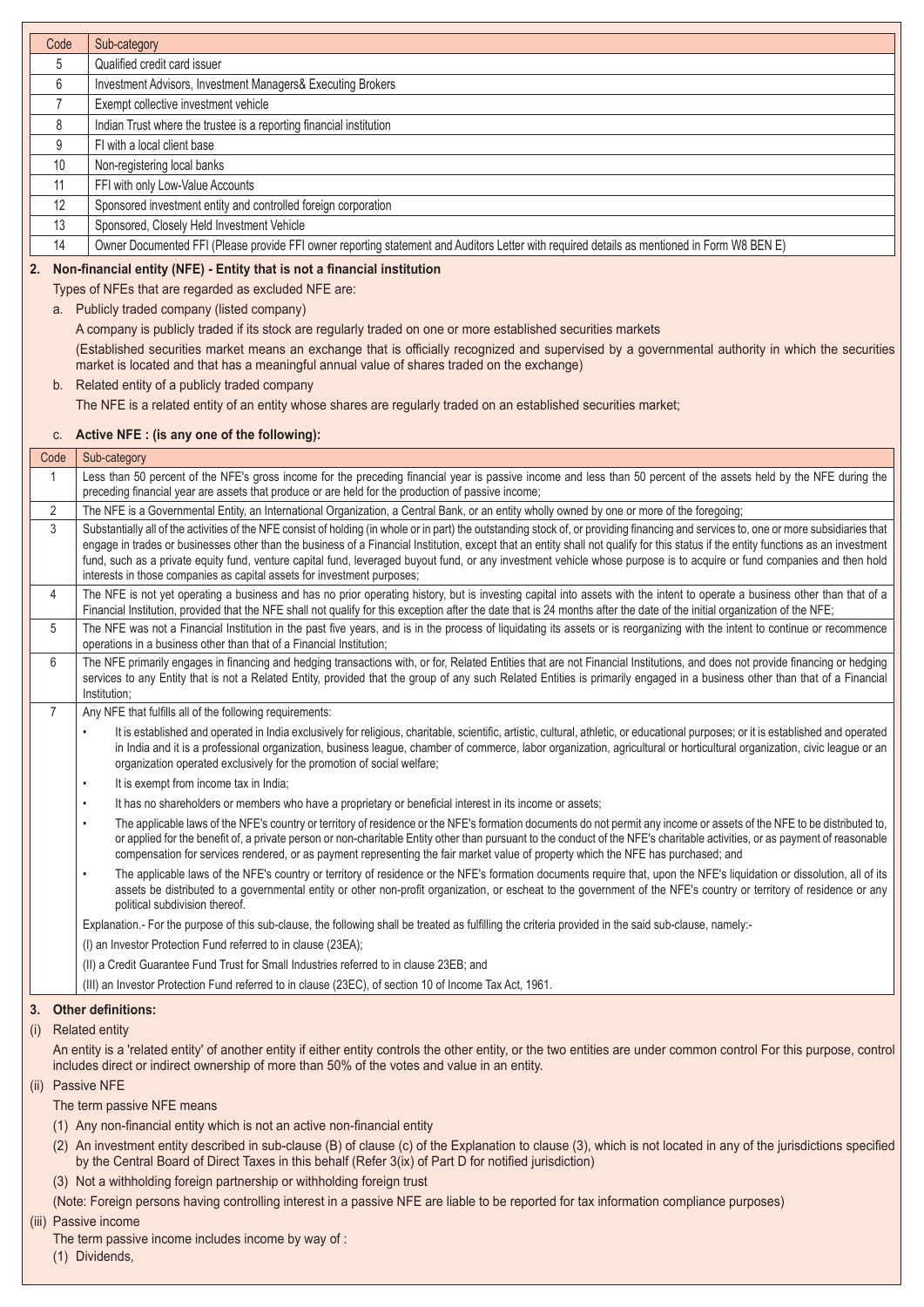| Code           | Sub-category                                                                                                                                                                                                                                                                                                                                                                                                                                                                                             |
|----------------|----------------------------------------------------------------------------------------------------------------------------------------------------------------------------------------------------------------------------------------------------------------------------------------------------------------------------------------------------------------------------------------------------------------------------------------------------------------------------------------------------------|
| 5              | Qualified credit card issuer                                                                                                                                                                                                                                                                                                                                                                                                                                                                             |
| 6              | Investment Advisors, Investment Managers& Executing Brokers                                                                                                                                                                                                                                                                                                                                                                                                                                              |
| $\overline{7}$ | Exempt collective investment vehicle                                                                                                                                                                                                                                                                                                                                                                                                                                                                     |
| 8              | Indian Trust where the trustee is a reporting financial institution                                                                                                                                                                                                                                                                                                                                                                                                                                      |
| 9              | FI with a local client base                                                                                                                                                                                                                                                                                                                                                                                                                                                                              |
| 10             | Non-registering local banks                                                                                                                                                                                                                                                                                                                                                                                                                                                                              |
| 11             | FFI with only Low-Value Accounts                                                                                                                                                                                                                                                                                                                                                                                                                                                                         |
| 12             | Sponsored investment entity and controlled foreign corporation                                                                                                                                                                                                                                                                                                                                                                                                                                           |
| 13             | Sponsored, Closely Held Investment Vehicle                                                                                                                                                                                                                                                                                                                                                                                                                                                               |
| 14             | Owner Documented FFI (Please provide FFI owner reporting statement and Auditors Letter with required details as mentioned in Form W8 BEN E)                                                                                                                                                                                                                                                                                                                                                              |
| 2.             | Non-financial entity (NFE) - Entity that is not a financial institution                                                                                                                                                                                                                                                                                                                                                                                                                                  |
|                | Types of NFEs that are regarded as excluded NFE are:                                                                                                                                                                                                                                                                                                                                                                                                                                                     |
|                | a. Publicly traded company (listed company)                                                                                                                                                                                                                                                                                                                                                                                                                                                              |
|                | A company is publicly traded if its stock are regularly traded on one or more established securities markets                                                                                                                                                                                                                                                                                                                                                                                             |
|                | (Established securities market means an exchange that is officially recognized and supervised by a governmental authority in which the securities                                                                                                                                                                                                                                                                                                                                                        |
|                | market is located and that has a meaningful annual value of shares traded on the exchange)                                                                                                                                                                                                                                                                                                                                                                                                               |
|                | b. Related entity of a publicly traded company                                                                                                                                                                                                                                                                                                                                                                                                                                                           |
|                | The NFE is a related entity of an entity whose shares are regularly traded on an established securities market;                                                                                                                                                                                                                                                                                                                                                                                          |
| C.             | Active NFE : (is any one of the following):                                                                                                                                                                                                                                                                                                                                                                                                                                                              |
| Code           | Sub-category                                                                                                                                                                                                                                                                                                                                                                                                                                                                                             |
| $\mathbf{1}$   | Less than 50 percent of the NFE's gross income for the preceding financial year is passive income and less than 50 percent of the assets held by the NFE during the                                                                                                                                                                                                                                                                                                                                      |
|                | preceding financial year are assets that produce or are held for the production of passive income;                                                                                                                                                                                                                                                                                                                                                                                                       |
| 2              | The NFE is a Governmental Entity, an International Organization, a Central Bank, or an entity wholly owned by one or more of the foregoing;                                                                                                                                                                                                                                                                                                                                                              |
| 3              | Substantially all of the activities of the NFE consist of holding (in whole or in part) the outstanding stock of, or providing financing and services to, one or more subsidiaries that                                                                                                                                                                                                                                                                                                                  |
|                | engage in trades or businesses other than the business of a Financial Institution, except that an entity shall not qualify for this status if the entity functions as an investment<br>fund, such as a private equity fund, venture capital fund, leveraged buyout fund, or any investment vehicle whose purpose is to acquire or fund companies and then hold                                                                                                                                           |
|                | interests in those companies as capital assets for investment purposes;                                                                                                                                                                                                                                                                                                                                                                                                                                  |
| 4              | The NFE is not yet operating a business and has no prior operating history, but is investing capital into assets with the intent to operate a business other than that of a                                                                                                                                                                                                                                                                                                                              |
|                | Financial Institution, provided that the NFE shall not qualify for this exception after the date that is 24 months after the date of the initial organization of the NFE;                                                                                                                                                                                                                                                                                                                                |
| 5              | The NFE was not a Financial Institution in the past five years, and is in the process of liquidating its assets or is reorganizing with the intent to continue or recommence<br>operations in a business other than that of a Financial Institution;                                                                                                                                                                                                                                                     |
| 6              | The NFE primarily engages in financing and hedging transactions with, or for, Related Entities that are not Financial Institutions, and does not provide financing or hedging<br>services to any Entity that is not a Related Entity, provided that the group of any such Related Entities is primarily engaged in a business other than that of a Financial<br>Institution;                                                                                                                             |
| $\overline{7}$ | Any NFE that fulfills all of the following requirements:                                                                                                                                                                                                                                                                                                                                                                                                                                                 |
|                | It is established and operated in India exclusively for religious, charitable, scientific, artistic, cultural, athletic, or educational purposes; or it is established and operated<br>in India and it is a professional organization, business league, chamber of commerce, labor organization, agricultural or horticultural organization, civic league or an<br>organization operated exclusively for the promotion of social welfare;                                                                |
|                | It is exempt from income tax in India;<br>$\bullet$                                                                                                                                                                                                                                                                                                                                                                                                                                                      |
|                | It has no shareholders or members who have a proprietary or beneficial interest in its income or assets;<br>$\bullet$                                                                                                                                                                                                                                                                                                                                                                                    |
|                | The applicable laws of the NFE's country or territory of residence or the NFE's formation documents do not permit any income or assets of the NFE to be distributed to,<br>$\bullet$<br>or applied for the benefit of, a private person or non-charitable Entity other than pursuant to the conduct of the NFE's charitable activities, or as payment of reasonable<br>compensation for services rendered, or as payment representing the fair market value of property which the NFE has purchased; and |
|                | The applicable laws of the NFE's country or territory of residence or the NFE's formation documents require that, upon the NFE's liquidation or dissolution, all of its<br>$\bullet$                                                                                                                                                                                                                                                                                                                     |
|                | assets be distributed to a governmental entity or other non-profit organization, or escheat to the government of the NFE's country or territory of residence or any<br>political subdivision thereof.                                                                                                                                                                                                                                                                                                    |
|                | Explanation.- For the purpose of this sub-clause, the following shall be treated as fulfilling the criteria provided in the said sub-clause, namely:-                                                                                                                                                                                                                                                                                                                                                    |
|                | (I) an Investor Protection Fund referred to in clause (23EA);                                                                                                                                                                                                                                                                                                                                                                                                                                            |
|                | (II) a Credit Guarantee Fund Trust for Small Industries referred to in clause 23EB; and                                                                                                                                                                                                                                                                                                                                                                                                                  |
|                | (III) an Investor Protection Fund referred to in clause (23EC), of section 10 of Income Tax Act, 1961.                                                                                                                                                                                                                                                                                                                                                                                                   |
| 3.             | <b>Other definitions:</b>                                                                                                                                                                                                                                                                                                                                                                                                                                                                                |
| (i)            | <b>Related entity</b>                                                                                                                                                                                                                                                                                                                                                                                                                                                                                    |
|                | An entity is a 'related entity' of another entity if either entity controls the other entity, or the two entities are under common control For this purpose, control                                                                                                                                                                                                                                                                                                                                     |
|                | includes direct or indirect ownership of more than 50% of the votes and value in an entity.                                                                                                                                                                                                                                                                                                                                                                                                              |
|                | (ii) Passive NFE                                                                                                                                                                                                                                                                                                                                                                                                                                                                                         |
|                | The term passive NFE means                                                                                                                                                                                                                                                                                                                                                                                                                                                                               |
|                | (1) Any non-financial entity which is not an active non-financial entity                                                                                                                                                                                                                                                                                                                                                                                                                                 |
|                | (2) An investment entity described in sub-clause (B) of clause (c) of the Explanation to clause (3), which is not located in any of the jurisdictions specified<br>by the Central Board of Direct Taxes in this behalf (Refer 3(ix) of Part D for notified jurisdiction)                                                                                                                                                                                                                                 |
|                | (3) Not a withholding foreign partnership or withholding foreign trust                                                                                                                                                                                                                                                                                                                                                                                                                                   |
|                | (Note: Foreign persons having controlling interest in a passive NFE are liable to be reported for tax information compliance purposes)                                                                                                                                                                                                                                                                                                                                                                   |
|                | (iii) Passive income<br>The term passive income includes income by way of:                                                                                                                                                                                                                                                                                                                                                                                                                               |
|                | (1) Dividends,                                                                                                                                                                                                                                                                                                                                                                                                                                                                                           |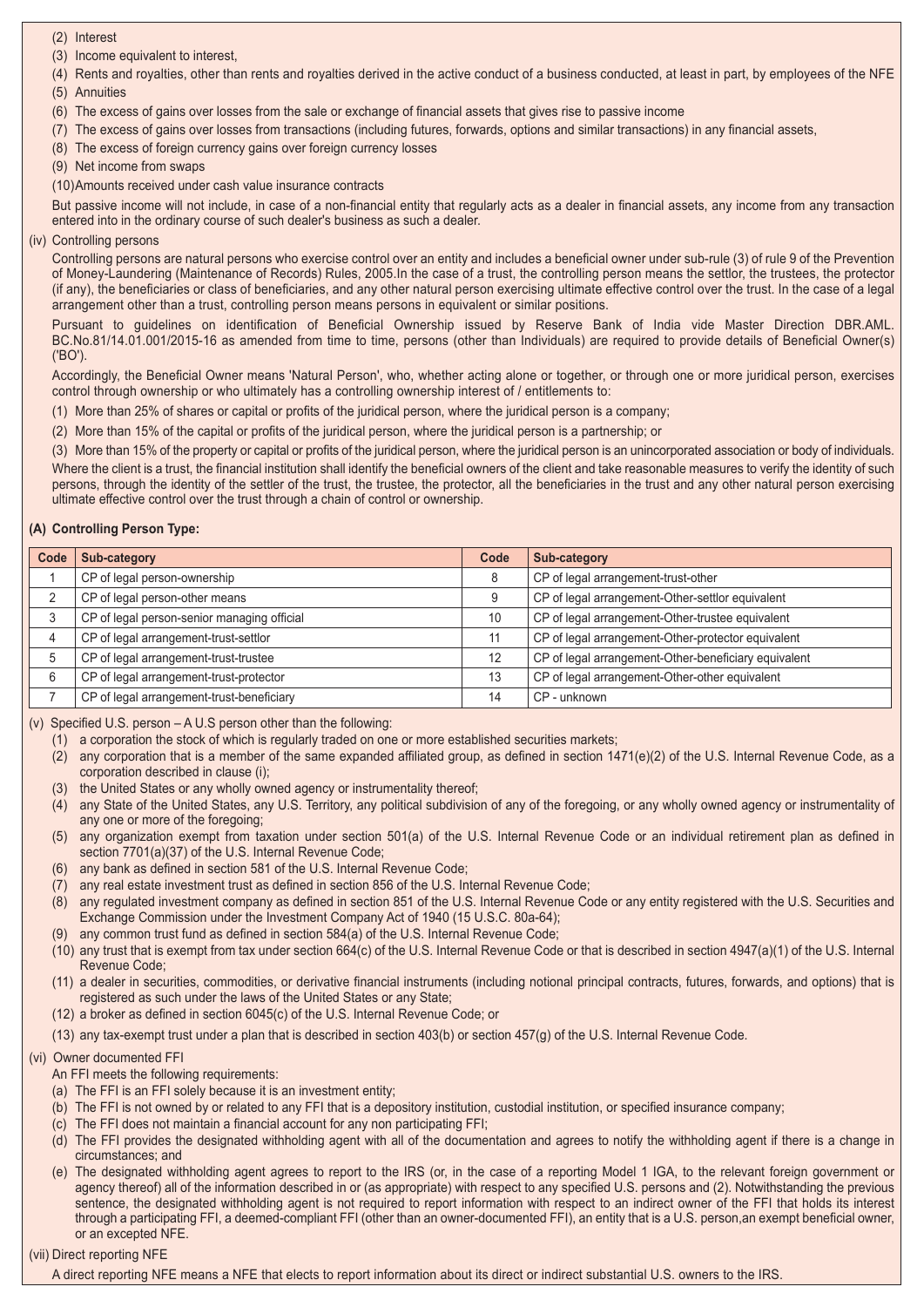- (2) Interest
- (3) Income equivalent to interest,
- (4) Rents and royalties, other than rents and royalties derived in the active conduct of a business conducted, at least in part, by employees of the NFE (5) Annuities
- (6) The excess of gains over losses from the sale or exchange of financial assets that gives rise to passive income
- (7) The excess of gains over losses from transactions (including futures, forwards, options and similar transactions) in any financial assets,
- (8) The excess of foreign currency gains over foreign currency losses
- (9) Net income from swaps
- (10)Amounts received under cash value insurance contracts

But passive income will not include, in case of a non-financial entity that regularly acts as a dealer in financial assets, any income from any transaction entered into in the ordinary course of such dealer's business as such a dealer.

(iv) Controlling persons

Controlling persons are natural persons who exercise control over an entity and includes a beneficial owner under sub-rule (3) of rule 9 of the Prevention of Money-Laundering (Maintenance of Records) Rules, 2005.In the case of a trust, the controlling person means the settlor, the trustees, the protector (if any), the beneficiaries or class of beneficiaries, and any other natural person exercising ultimate effective control over the trust. In the case of a legal arrangement other than a trust, controlling person means persons in equivalent or similar positions.

Pursuant to guidelines on identification of Beneficial Ownership issued by Reserve Bank of India vide Master Direction DBR.AML. BC.No.81/14.01.001/2015-16 as amended from time to time, persons (other than Individuals) are required to provide details of Beneficial Owner(s) ('BO').

Accordingly, the Beneficial Owner means 'Natural Person', who, whether acting alone or together, or through one or more juridical person, exercises control through ownership or who ultimately has a controlling ownership interest of / entitlements to:

(1) More than 25% of shares or capital or profits of the juridical person, where the juridical person is a company;

(2) More than 15% of the capital or profits of the juridical person, where the juridical person is a partnership; or

(3) More than 15% of the property or capital or profits of the juridical person, where the juridical person is an unincorporated association or body of individuals. Where the client is a trust, the financial institution shall identify the beneficial owners of the client and take reasonable measures to verify the identity of such persons, through the identity of the settler of the trust, the trustee, the protector, all the beneficiaries in the trust and any other natural person exercising ultimate effective control over the trust through a chain of control or ownership.

#### **(A) Controlling Person Type:**

| Code | Sub-category                                | Code | Sub-category                                         |
|------|---------------------------------------------|------|------------------------------------------------------|
|      | CP of legal person-ownership                | 8    | CP of legal arrangement-trust-other                  |
| 2    | CP of legal person-other means              | 9    | CP of legal arrangement-Other-settlor equivalent     |
| 3    | CP of legal person-senior managing official | 10   | CP of legal arrangement-Other-trustee equivalent     |
|      | CP of legal arrangement-trust-settlor       | 11   | CP of legal arrangement-Other-protector equivalent   |
| 5    | CP of legal arrangement-trust-trustee       | 12   | CP of legal arrangement-Other-beneficiary equivalent |
| 6    | CP of legal arrangement-trust-protector     | 13   | CP of legal arrangement-Other-other equivalent       |
|      | CP of legal arrangement-trust-beneficiary   | 14   | CP - unknown                                         |

(v) Specified U.S. person – A U.S person other than the following:

- (1) a corporation the stock of which is regularly traded on one or more established securities markets;
- (2) any corporation that is a member of the same expanded affiliated group, as defined in section 1471(e)(2) of the U.S. Internal Revenue Code, as a corporation described in clause (i);
- (3) the United States or any wholly owned agency or instrumentality thereof;
- (4) any State of the United States, any U.S. Territory, any political subdivision of any of the foregoing, or any wholly owned agency or instrumentality of any one or more of the foregoing;
- (5) any organization exempt from taxation under section 501(a) of the U.S. Internal Revenue Code or an individual retirement plan as defined in section 7701(a)(37) of the U.S. Internal Revenue Code;
- (6) any bank as defined in section 581 of the U.S. Internal Revenue Code;
- (7) any real estate investment trust as defined in section 856 of the U.S. Internal Revenue Code;
- (8) any regulated investment company as defined in section 851 of the U.S. Internal Revenue Code or any entity registered with the U.S. Securities and Exchange Commission under the Investment Company Act of 1940 (15 U.S.C. 80a-64);
- (9) any common trust fund as defined in section 584(a) of the U.S. Internal Revenue Code;
- (10) any trust that is exempt from tax under section 664(c) of the U.S. Internal Revenue Code or that is described in section 4947(a)(1) of the U.S. Internal Revenue Code;
- (11) a dealer in securities, commodities, or derivative financial instruments (including notional principal contracts, futures, forwards, and options) that is registered as such under the laws of the United States or any State;
- (12) a broker as defined in section 6045(c) of the U.S. Internal Revenue Code; or
- (13) any tax-exempt trust under a plan that is described in section 403(b) or section 457(g) of the U.S. Internal Revenue Code.

#### (vi) Owner documented FFI

- An FFI meets the following requirements:
- (a) The FFI is an FFI solely because it is an investment entity;
- (b) The FFI is not owned by or related to any FFI that is a depository institution, custodial institution, or specified insurance company;
- (c) The FFI does not maintain a financial account for any non participating FFI;
- (d) The FFI provides the designated withholding agent with all of the documentation and agrees to notify the withholding agent if there is a change in circumstances; and
- (e) The designated withholding agent agrees to report to the IRS (or, in the case of a reporting Model 1 IGA, to the relevant foreign government or agency thereof) all of the information described in or (as appropriate) with respect to any specified U.S. persons and (2). Notwithstanding the previous sentence, the designated withholding agent is not required to report information with respect to an indirect owner of the FFI that holds its interest through a participating FFI, a deemed-compliant FFI (other than an owner-documented FFI), an entity that is a U.S. person,an exempt beneficial owner, or an excepted NFE.

#### (vii) Direct reporting NFE

A direct reporting NFE means a NFE that elects to report information about its direct or indirect substantial U.S. owners to the IRS.